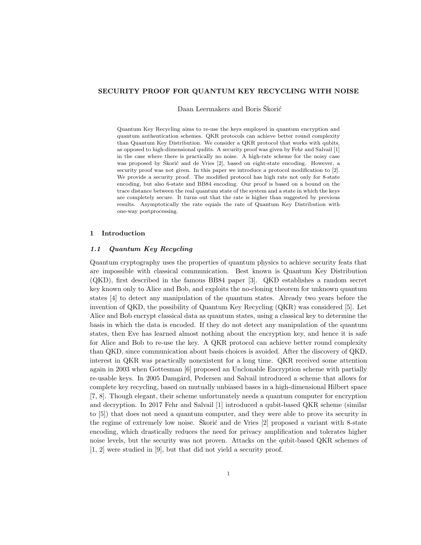## SECURITY PROOF FOR QUANTUM KEY RECYCLING WITH NOISE

Daan Leermakers and Boris Škorić

Quantum Key Recycling aims to re-use the keys employed in quantum encryption and quantum authentication schemes. QKR protocols can achieve better round complexity than Quantum Key Distribution. We consider a QKR protocol that works with qubits, as opposed to high-dimensional qudits. A security proof was given by Fehr and Salvail [1] in the case where there is practically no noise. A high-rate scheme for the noisy case was proposed by Škorić and de Vries [2], based on eight-state encoding. However, a security proof was not given. In this paper we introduce a protocol modification to [2]. We provide a security proof. The modified protocol has high rate not only for 8-state encoding, but also 6-state and BB84 encoding. Our proof is based on a bound on the trace distance between the real quantum state of the system and a state in which the keys are completely secure. It turns out that the rate is higher than suggested by previous results. Asymptotically the rate equals the rate of Quantum Key Distribution with one-way postprocessing.

## 1 Introduction

## 1.1 Quantum Key Recycling

Quantum cryptography uses the properties of quantum physics to achieve security feats that are impossible with classical communication. Best known is Quantum Key Distribution (QKD), first described in the famous BB84 paper [3]. QKD establishes a random secret key known only to Alice and Bob, and exploits the no-cloning theorem for unknown quantum states [4] to detect any manipulation of the quantum states. Already two years before the invention of QKD, the possibility of Quantum Key Recycling (QKR) was considered [5]. Let Alice and Bob encrypt classical data as quantum states, using a classical key to determine the basis in which the data is encoded. If they do not detect any manipulation of the quantum states, then Eve has learned almost nothing about the encryption key, and hence it is safe for Alice and Bob to re-use the key. A QKR protocol can achieve better round complexity than QKD, since communication about basis choices is avoided. After the discovery of QKD, interest in QKR was practically nonexistent for a long time. QKR received some attention again in 2003 when Gottesman [6] proposed an Unclonable Encryption scheme with partially re-usable keys. In 2005 Damgård, Pedersen and Salvail introduced a scheme that allows for complete key recycling, based on mutually unbiased bases in a high-dimensional Hilbert space [7, 8]. Though elegant, their scheme unfortunately needs a quantum computer for encryption and decryption. In 2017 Fehr and Salvail [1] introduced a qubit-based QKR scheme (similar to [5]) that does not need a quantum computer, and they were able to prove its security in the regime of extremely low noise. Skorić and de Vries  $[2]$  proposed a variant with 8-state encoding, which drastically reduces the need for privacy amplification and tolerates higher noise levels, but the security was not proven. Attacks on the qubit-based QKR schemes of [1, 2] were studied in [9], but that did not yield a security proof.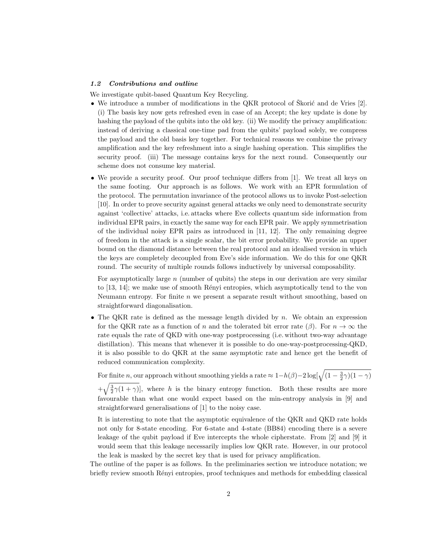### 1.2 Contributions and outline

We investigate qubit-based Quantum Key Recycling.

- We introduce a number of modifications in the QKR protocol of Skorić and de Vries  $[2]$ . (i) The basis key now gets refreshed even in case of an Accept; the key update is done by hashing the payload of the qubits into the old key. (ii) We modify the privacy amplification: instead of deriving a classical one-time pad from the qubits' payload solely, we compress the payload and the old basis key together. For technical reasons we combine the privacy amplification and the key refreshment into a single hashing operation. This simplifies the security proof. (iii) The message contains keys for the next round. Consequently our scheme does not consume key material.
- We provide a security proof. Our proof technique differs from [1]. We treat all keys on the same footing. Our approach is as follows. We work with an EPR formulation of the protocol. The permutation invariance of the protocol allows us to invoke Post-selection [10]. In order to prove security against general attacks we only need to demonstrate security against 'collective' attacks, i.e. attacks where Eve collects quantum side information from individual EPR pairs, in exactly the same way for each EPR pair. We apply symmetrisation of the individual noisy EPR pairs as introduced in [11, 12]. The only remaining degree of freedom in the attack is a single scalar, the bit error probability. We provide an upper bound on the diamond distance between the real protocol and an idealised version in which the keys are completely decoupled from Eve's side information. We do this for one QKR round. The security of multiple rounds follows inductively by universal composability.

For asymptotically large  $n$  (number of qubits) the steps in our derivation are very similar to [13, 14]; we make use of smooth Rényi entropies, which asymptotically tend to the von Neumann entropy. For finite  $n$  we present a separate result without smoothing, based on straightforward diagonalisation.

• The QKR rate is defined as the message length divided by  $n$ . We obtain an expression for the QKR rate as a function of n and the tolerated bit error rate ( $\beta$ ). For  $n \to \infty$  the rate equals the rate of QKD with one-way postprocessing (i.e. without two-way advantage distillation). This means that whenever it is possible to do one-way-postprocessing-QKD, it is also possible to do QKR at the same asymptotic rate and hence get the benefit of reduced communication complexity.

For finite n, our approach without smoothing yields a rate  $\approx 1-h(\beta)-2\log[\sqrt{(1-\frac{3}{2}\gamma)(1-\gamma)}]$ 

 $+\sqrt{\frac{3}{2}\gamma(1+\gamma)}$ , where h is the binary entropy function. Both these results are more favourable than what one would expect based on the min-entropy analysis in [9] and straightforward generalisations of [1] to the noisy case.

It is interesting to note that the asymptotic equivalence of the QKR and QKD rate holds not only for 8-state encoding. For 6-state and 4-state (BB84) encoding there is a severe leakage of the qubit payload if Eve intercepts the whole cipherstate. From [2] and [9] it would seem that this leakage necessarily implies low QKR rate. However, in our protocol the leak is masked by the secret key that is used for privacy amplification.

The outline of the paper is as follows. In the preliminaries section we introduce notation; we briefly review smooth Rényi entropies, proof techniques and methods for embedding classical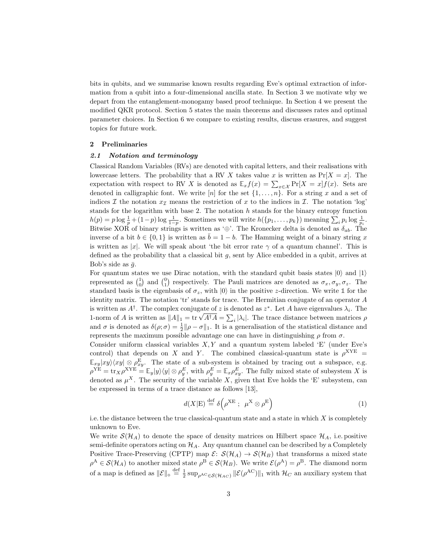bits in qubits, and we summarise known results regarding Eve's optimal extraction of information from a qubit into a four-dimensional ancilla state. In Section 3 we motivate why we depart from the entanglement-monogamy based proof technique. In Section 4 we present the modified QKR protocol. Section 5 states the main theorems and discusses rates and optimal parameter choices. In Section 6 we compare to existing results, discuss erasures, and suggest topics for future work.

### 2 Preliminaries

#### 2.1 Notation and terminology

Classical Random Variables (RVs) are denoted with capital letters, and their realisations with lowercase letters. The probability that a RV X takes value x is written as  $Pr[X = x]$ . The expectation with respect to RV X is denoted as  $\mathbb{E}_x f(x) = \sum_{x \in \mathcal{X}} \Pr[X = x] f(x)$ . Sets are denoted in calligraphic font. We write  $[n]$  for the set  $\{1, \ldots, n\}$ . For a string x and a set of indices I the notation  $x_{\mathcal{I}}$  means the restriction of x to the indices in I. The notation 'log' stands for the logarithm with base 2. The notation  $h$  stands for the binary entropy function  $h(p) = p \log \frac{1}{p} + (1-p) \log \frac{1}{1-p}$ . Sometimes we will write  $h(\lbrace p_1, \ldots, p_k \rbrace)$  meaning  $\sum_i p_i \log \frac{1}{p_i}$ . Bitwise XOR of binary strings is written as '⊕'. The Kronecker delta is denoted as  $\delta_{ab}$ . The inverse of a bit  $b \in \{0, 1\}$  is written as  $\overline{b} = 1 - b$ . The Hamming weight of a binary string x is written as |x|. We will speak about 'the bit error rate  $\gamma$  of a quantum channel'. This is defined as the probability that a classical bit  $g$ , sent by Alice embedded in a qubit, arrives at Bob's side as  $\bar{g}$ .

For quantum states we use Dirac notation, with the standard qubit basis states  $|0\rangle$  and  $|1\rangle$ represented as  $\binom{1}{0}$  and  $\binom{0}{1}$  respectively. The Pauli matrices are denoted as  $\sigma_x, \sigma_y, \sigma_z$ . The standard basis is the eigenbasis of  $\sigma_z$ , with  $|0\rangle$  in the positive *z*-direction. We write 1 for the identity matrix. The notation 'tr' stands for trace. The Hermitian conjugate of an operator A is written as  $A^{\dagger}$ . The complex conjugate of z is denoted as  $z^*$ . Let A have eigenvalues  $\lambda_i$ . The 1-norm of A is written as  $||A||_1 = \text{tr} \sqrt{A^{\dagger}A} = \sum_i |\lambda_i|$ . The trace distance between matrices  $\rho$ and  $\sigma$  is denoted as  $\delta(\rho;\sigma) = \frac{1}{2} ||\rho - \sigma||_1$ . It is a generalisation of the statistical distance and represents the maximum possible advantage one can have in distinguishing  $\rho$  from  $\sigma$ .

Consider uniform classical variables  $X, Y$  and a quantum system labeled 'E' (under Eve's control) that depends on X and Y. The combined classical-quantum state is  $\rho^{XYE}$  =  $\mathbb{E}_{xy}|xy\rangle\langle xy|\otimes\rho_{xy}^{\mathbb{E}}$ . The state of a sub-system is obtained by tracing out a subspace, e.g.  $\rho^{\text{YE}} = \text{tr}_X \rho^{\text{XYE}} = \mathbb{E}_y |y\rangle\langle y| \otimes \rho_y^E$ , with  $\rho_y^E = \mathbb{E}_x \rho_{xy}^E$ . The fully mixed state of subsystem X is denoted as  $\mu^X$ . The security of the variable X, given that Eve holds the 'E' subsystem, can be expressed in terms of a trace distance as follows [13],

$$
d(X|E) \stackrel{\text{def}}{=} \delta \left( \rho^{XE} \; ; \; \mu^X \otimes \rho^E \right) \tag{1}
$$

i.e. the distance between the true classical-quantum state and a state in which  $X$  is completely unknown to Eve.

We write  $\mathcal{S}(\mathcal{H}_A)$  to denote the space of density matrices on Hilbert space  $\mathcal{H}_A$ , i.e. positive semi-definite operators acting on  $\mathcal{H}_A$ . Any quantum channel can be described by a Completely Positive Trace-Preserving (CPTP) map  $\mathcal{E}: S(\mathcal{H}_A) \to S(\mathcal{H}_B)$  that transforms a mixed state  $\rho^A \in \mathcal{S}(\mathcal{H}_A)$  to another mixed state  $\rho^B \in \mathcal{S}(\mathcal{H}_B)$ . We write  $\mathcal{E}(\rho^A) = \rho^B$ . The diamond norm of a map is defined as  $\|\mathcal{E}\|_{\diamond} \stackrel{\text{def}}{=} \frac{1}{2} \sup_{\rho^{AC} \in \mathcal{S}(\mathcal{H}_{AC})} \|\mathcal{E}(\rho^{AC})\|_1$  with  $\mathcal{H}_C$  an auxiliary system that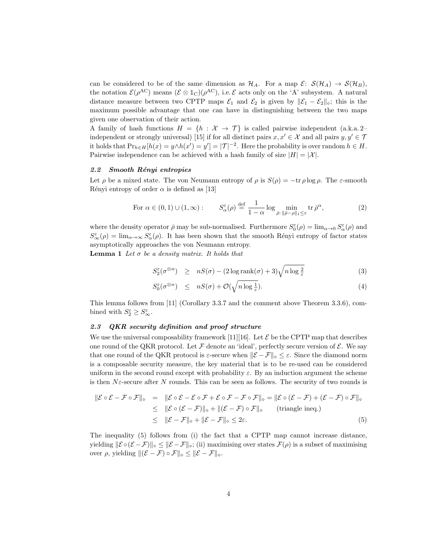can be considered to be of the same dimension as  $\mathcal{H}_A$ . For a map  $\mathcal{E}: S(\mathcal{H}_A) \to S(\mathcal{H}_B)$ , the notation  $\mathcal{E}(\rho^{\text{AC}})$  means  $(\mathcal{E} \otimes \mathbb{1}_{\mathbb{C}})(\rho^{\text{AC}})$ , i.e.  $\mathcal{E}$  acts only on the 'A' subsystem. A natural distance measure between two CPTP maps  $\mathcal{E}_1$  and  $\mathcal{E}_2$  is given by  $\|\mathcal{E}_1 - \mathcal{E}_2\|_{\diamond};$  this is the maximum possible advantage that one can have in distinguishing between the two maps given one observation of their action.

A family of hash functions  $H = \{h : \mathcal{X} \to \mathcal{T}\}\$ is called pairwise independent (a.k.a. 2– independent or strongly universal) [15] if for all distinct pairs  $x, x' \in \mathcal{X}$  and all pairs  $y, y' \in \mathcal{T}$ it holds that  $Pr_{h \in H}[h(x) = y \land h(x') = y'] = |\mathcal{T}|^{-2}$ . Here the probability is over random  $h \in H$ . Pairwise independence can be achieved with a hash family of size  $|H| = |\mathcal{X}|$ .

#### 2.2 Smooth Rényi entropies

Let  $\rho$  be a mixed state. The von Neumann entropy of  $\rho$  is  $S(\rho) = -\text{tr } \rho \log \rho$ . The  $\varepsilon$ -smooth Rényi entropy of order  $\alpha$  is defined as [13]

For 
$$
\alpha \in (0, 1) \cup (1, \infty)
$$
:  $S_{\alpha}^{\varepsilon}(\rho) \stackrel{\text{def}}{=} \frac{1}{1 - \alpha} \log \min_{\bar{\rho} : \|\bar{\rho} - \rho\|_1 \leq \varepsilon} \text{tr } \bar{\rho}^{\alpha},$  (2)

where the density operator  $\bar{\rho}$  may be sub-normalised. Furthermore  $S_0^{\varepsilon}(\rho) = \lim_{\alpha \to 0} S_\alpha^{\varepsilon}(\rho)$  and  $S^{\varepsilon}_{\infty}(\rho) = \lim_{\alpha \to \infty} S^{\varepsilon}_{\alpha}(\rho)$ . It has been shown that the smooth Rényi entropy of factor states asymptotically approaches the von Neumann entropy.

**Lemma 1** Let  $\sigma$  be a density matrix. It holds that

$$
S_2^{\varepsilon}(\sigma^{\otimes n}) \ge nS(\sigma) - (2\log \operatorname{rank}(\sigma) + 3)\sqrt{n\log \frac{2}{\varepsilon}} \tag{3}
$$

$$
S_0^{\varepsilon}(\sigma^{\otimes n}) \leq nS(\sigma) + \mathcal{O}(\sqrt{n \log \frac{1}{\varepsilon}}). \tag{4}
$$

This lemma follows from [11] (Corollary 3.3.7 and the comment above Theorem 3.3.6), combined with  $S_2^{\varepsilon} \geq S_{\infty}^{\varepsilon}$ .

### 2.3 QKR security definition and proof structure

We use the universal composability framework [11] [16]. Let  $\mathcal E$  be the CPTP map that describes one round of the QKR protocol. Let  $\mathcal F$  denote an 'ideal', perfectly secure version of  $\mathcal E$ . We say that one round of the QKR protocol is  $\varepsilon$ -secure when  $\|\mathcal{E} - \mathcal{F}\|_{\infty} \leq \varepsilon$ . Since the diamond norm is a composable security measure, the key material that is to be re-used can be considered uniform in the second round except with probability  $\varepsilon$ . By an induction argument the scheme is then  $N\varepsilon$ -secure after N rounds. This can be seen as follows. The security of two rounds is

$$
\|\mathcal{E} \circ \mathcal{E} - \mathcal{F} \circ \mathcal{F}\|_{\diamond} = \|\mathcal{E} \circ \mathcal{E} - \mathcal{E} \circ \mathcal{F} + \mathcal{E} \circ \mathcal{F} - \mathcal{F} \circ \mathcal{F}\|_{\diamond} = \|\mathcal{E} \circ (\mathcal{E} - \mathcal{F}) + (\mathcal{E} - \mathcal{F}) \circ \mathcal{F}\|_{\diamond}
$$
  
\n
$$
\leq \|\mathcal{E} \circ (\mathcal{E} - \mathcal{F})\|_{\diamond} + \|(\mathcal{E} - \mathcal{F}) \circ \mathcal{F}\|_{\diamond} \quad \text{(triangle ineq.)}
$$
  
\n
$$
\leq \|\mathcal{E} - \mathcal{F}\|_{\diamond} + \|\mathcal{E} - \mathcal{F}\|_{\diamond} \leq 2\varepsilon.
$$
 (5)

The inequality (5) follows from (i) the fact that a CPTP map cannot increase distance, yielding  $\|\mathcal{E} \circ (\mathcal{E} - \mathcal{F})\|_{\infty} \leq \|\mathcal{E} - \mathcal{F}\|_{\infty}$ ; (ii) maximising over states  $\mathcal{F}(\rho)$  is a subset of maximising over  $\rho$ , yielding  $\|(\mathcal{E} - \mathcal{F}) \circ \mathcal{F}\|_{\diamond} \le \|\mathcal{E} - \mathcal{F}\|_{\diamond}.$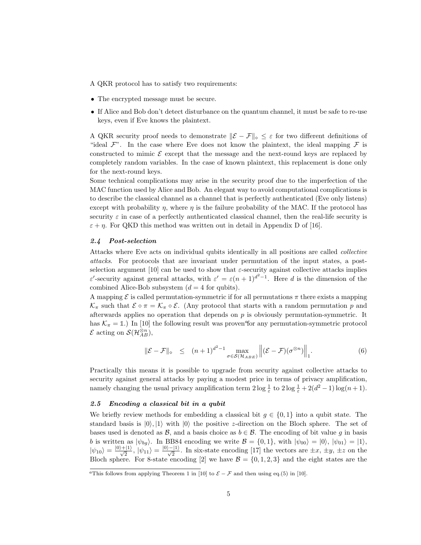- A QKR protocol has to satisfy two requirements:
- The encrypted message must be secure.
- If Alice and Bob don't detect disturbance on the quantum channel, it must be safe to re-use keys, even if Eve knows the plaintext.

A QKR security proof needs to demonstrate  $\|\mathcal{E} - \mathcal{F}\|_{\infty} \leq \varepsilon$  for two different definitions of "ideal  $\mathcal{F}$ ". In the case where Eve does not know the plaintext, the ideal mapping  $\mathcal F$  is constructed to mimic  $\mathcal E$  except that the message and the next-round keys are replaced by completely random variables. In the case of known plaintext, this replacement is done only for the next-round keys.

Some technical complications may arise in the security proof due to the imperfection of the MAC function used by Alice and Bob. An elegant way to avoid computational complications is to describe the classical channel as a channel that is perfectly authenticated (Eve only listens) except with probability  $\eta$ , where  $\eta$  is the failure probability of the MAC. If the protocol has security  $\varepsilon$  in case of a perfectly authenticated classical channel, then the real-life security is  $\varepsilon + \eta$ . For QKD this method was written out in detail in Appendix D of [16].

### 2.4 Post-selection

Attacks where Eve acts on individual qubits identically in all positions are called collective attacks. For protocols that are invariant under permutation of the input states, a postselection argument [10] can be used to show that  $\varepsilon$ -security against collective attacks implies ε'-security against general attacks, with  $\varepsilon' = \varepsilon (n+1)^{d^2-1}$ . Here d is the dimension of the combined Alice-Bob subsystem  $(d = 4$  for qubits).

A mapping  $\mathcal E$  is called permutation-symmetric if for all permutations  $\pi$  there exists a mapping  $\mathcal{K}_{\pi}$  such that  $\mathcal{E} \circ \pi = \mathcal{K}_{\pi} \circ \mathcal{E}$ . (Any protocol that starts with a random permutation p and afterwards applies no operation that depends on  $p$  is obviously permutation-symmetric. It has  $\mathcal{K}_{\pi} = \mathbb{1}$ .) In [10] the following result was proven for any permutation-symmetric protocol  $\mathcal{E}$  acting on  $\mathcal{S}(\mathcal{H}_{AB}^{\otimes n})$ ,

$$
\|\mathcal{E} - \mathcal{F}\|_{\diamond} \le (n+1)^{d^2-1} \max_{\sigma \in \mathcal{S}(\mathcal{H}_{ABE})} \left\| (\mathcal{E} - \mathcal{F})(\sigma^{\otimes n}) \right\|_{1}.
$$
 (6)

Practically this means it is possible to upgrade from security against collective attacks to security against general attacks by paying a modest price in terms of privacy amplification, namely changing the usual privacy amplification term  $2 \log \frac{1}{\varepsilon}$  to  $2 \log \frac{1}{\varepsilon} + 2(d^2 - 1) \log(n + 1)$ .

### 2.5 Encoding a classical bit in a qubit

We briefly review methods for embedding a classical bit  $g \in \{0,1\}$  into a qubit state. The standard basis is  $|0\rangle, |1\rangle$  with  $|0\rangle$  the positive *z*-direction on the Bloch sphere. The set of bases used is denoted as  $\mathcal{B}$ , and a basis choice as  $b \in \mathcal{B}$ . The encoding of bit value q in basis b is written as  $|\psi_{bg}\rangle$ . In BB84 encoding we write  $\mathcal{B} = \{0, 1\}$ , with  $|\psi_{00}\rangle = |0\rangle$ ,  $|\psi_{01}\rangle = |1\rangle$ ,  $|\psi_{10}\rangle = \frac{|0\rangle + |1\rangle}{\sqrt{2}}, |\psi_{11}\rangle = \frac{|0\rangle - |1\rangle}{\sqrt{2}}.$  In six-state encoding [17] the vectors are  $\pm x, \pm y, \pm z$  on the Bloch sphere. For 8-state encoding [2] we have  $\mathcal{B} = \{0, 1, 2, 3\}$  and the eight states are the

<sup>&</sup>lt;sup>a</sup>This follows from applying Theorem 1 in [10] to  $\mathcal{E} - \mathcal{F}$  and then using eq.(5) in [10].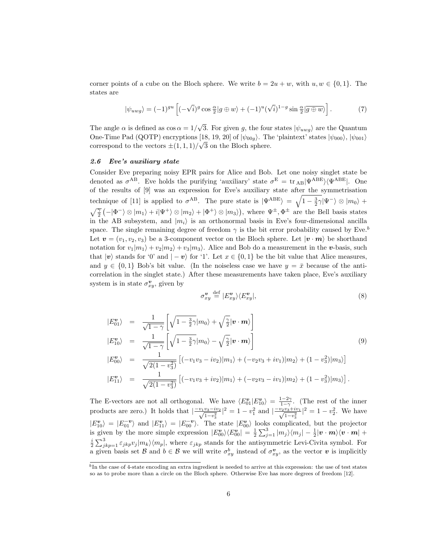corner points of a cube on the Bloch sphere. We write  $b = 2u + w$ , with  $u, w \in \{0, 1\}$ . The states are

$$
|\psi_{uwg}\rangle = (-1)^{gu} \left[ (-\sqrt{i})^g \cos \frac{\alpha}{2} |g \oplus w\rangle + (-1)^u (\sqrt{i})^{1-g} \sin \frac{\alpha}{2} |g \oplus w\rangle \right]. \tag{7}
$$

The angle  $\alpha$  is defined as  $\cos \alpha = 1/\sqrt{3}$ . For given g, the four states  $|\psi_{u w g}\rangle$  are the Quantum One-Time Pad (QOTP) encryptions [18, 19, 20] of  $|\psi_{00q}\rangle$ . The 'plaintext' states  $|\psi_{000}\rangle$ ,  $|\psi_{001}\rangle$ correspond to the vectors  $\pm (1, 1, 1)/\sqrt{3}$  on the Bloch sphere.

### 2.6 Eve's auxiliary state

Consider Eve preparing noisy EPR pairs for Alice and Bob. Let one noisy singlet state be denoted as  $\sigma^{AB}$ . Eve holds the purifying 'auxiliary' state  $\sigma^{E} = \text{tr}_{AB} |\Psi^{ABE}\rangle \langle \Psi^{ABE}|$ . One of the results of [9] was an expression for Eve's auxiliary state after the symmetrisation technique of [11] is applied to  $\sigma^{AB}$ . The pure state is  $|\Psi^{ABE}\rangle = \sqrt{1-\frac{3}{2}\gamma}|\Psi^-\rangle \otimes |m_0\rangle +$  $\sqrt{\frac{\gamma}{2}}(-|\Phi^-\rangle\otimes|m_1\rangle+i|\Psi^+\rangle\otimes|m_2\rangle+|\Phi^+\rangle\otimes|m_3\rangle)$ , where  $\Psi^{\pm},\Phi^{\pm}$  are the Bell basis states in the AB subsystem, and  $|m_i\rangle$  is an orthonormal basis in Eve's four-dimensional ancilla space. The single remaining degree of freedom  $\gamma$  is the bit error probability caused by Eve.<sup>b</sup> Let  $\mathbf{v} = (v_1, v_2, v_3)$  be a 3-component vector on the Bloch sphere. Let  $|\mathbf{v} \cdot \mathbf{m}\rangle$  be shorthand notation for  $v_1|m_1\rangle + v_2|m_2\rangle + v_3|m_3\rangle$ . Alice and Bob do a measurement in the v-basis, such that  $|v\rangle$  stands for '0' and  $|-v\rangle$  for '1'. Let  $x \in \{0,1\}$  be the bit value that Alice measures, and  $y \in \{0,1\}$  Bob's bit value. (In the noiseless case we have  $y = \bar{x}$  because of the anticorrelation in the singlet state.) After these measurements have taken place, Eve's auxiliary system is in state  $\sigma_{xy}^{\mathbf{v}},$  given by

$$
\sigma_{xy}^{\mathbf{v}} \stackrel{\text{def}}{=} |E_{xy}^{\mathbf{v}}\rangle\langle E_{xy}^{\mathbf{v}}|,\tag{8}
$$

$$
|E_{01}^{v}\rangle = \frac{1}{\sqrt{1-\gamma}} \left[ \sqrt{1-\frac{3}{2}\gamma}|m_{0}\rangle + \sqrt{\frac{\gamma}{2}}|\mathbf{v} \cdot \mathbf{m}\rangle \right]
$$
  
\n
$$
|E_{10}^{v}\rangle = \frac{1}{\sqrt{1-\gamma}} \left[ \sqrt{1-\frac{3}{2}\gamma}|m_{0}\rangle - \sqrt{\frac{\gamma}{2}}|\mathbf{v} \cdot \mathbf{m}\rangle \right]
$$
  
\n
$$
|E_{00}^{v}\rangle = \frac{1}{\sqrt{2(1-v_{3}^{2})}} \left[ (-v_{1}v_{3} - iv_{2})|m_{1}\rangle + (-v_{2}v_{3} + iv_{1})|m_{2}\rangle + (1-v_{3}^{2})|m_{3}\rangle \right]
$$
  
\n
$$
|E_{11}^{v}\rangle = \frac{1}{\sqrt{2(1-v_{3}^{2})}} \left[ (-v_{1}v_{3} + iv_{2})|m_{1}\rangle + (-v_{2}v_{3} - iv_{1})|m_{2}\rangle + (1-v_{3}^{2})|m_{3}\rangle \right].
$$
  
\n(9)

The E-vectors are not all orthogonal. We have  $\langle E_{01}^{\mathbf{v}} | E_{10}^{\mathbf{v}} \rangle = \frac{1-2\gamma}{1-\gamma}$ . (The rest of the inner products are zero.) It holds that  $\left|\frac{-v_1v_3-iv_2}{\sqrt{1-v_3^2}}\right|^2 = 1-v_1^2$  and  $\left|\frac{-v_2v_3+iv_1}{\sqrt{1-v_3^2}}\right|^2 = 1-v_2^2$ . We have  $|E_{10}^{v}\rangle = |E_{01}^{-v}\rangle$  and  $|E_{11}^{v}\rangle = |E_{00}^{-v}\rangle$ . The state  $|E_{00}^{v}\rangle$  looks complicated, but the projector is given by the more simple expression  $|E_{00}^{v}\rangle\langle E_{00}^{v}| = \frac{1}{2}\sum_{j=1}^{3}|m_{j}\rangle\langle m_{j}| - \frac{1}{2}|\mathbf{v}\cdot\mathbf{m}\rangle\langle\mathbf{v}\cdot\mathbf{m}| +$  $\frac{i}{2} \sum_{jkp=1}^{3} \varepsilon_{jkp} v_j |m_k\rangle\langle m_p|$ , where  $\varepsilon_{jkp}$  stands for the antisymmetric Levi-Civita symbol. For a given basis set  $\mathcal{B}$  and  $b \in \mathcal{B}$  we will write  $\sigma_{xy}^b$  instead of  $\sigma_{xy}^v$ , as the vector  $v$  is implicitly

 $b<sup>b</sup>$ In the case of 4-state encoding an extra ingredient is needed to arrive at this expression: the use of test states so as to probe more than a circle on the Bloch sphere. Otherwise Eve has more degrees of freedom [12].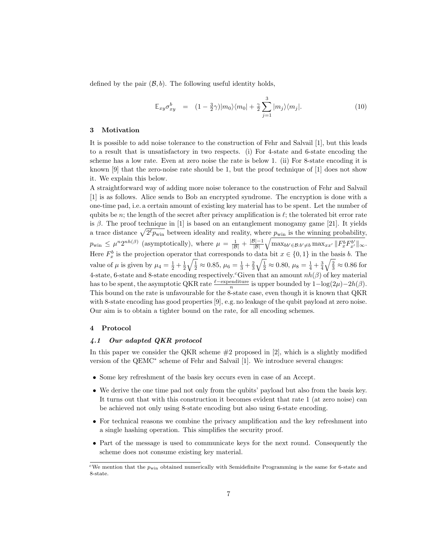defined by the pair  $(\mathcal{B}, b)$ . The following useful identity holds,

$$
\mathbb{E}_{xy}\sigma_{xy}^b = (1 - \frac{3}{2}\gamma)|m_0\rangle\langle m_0| + \frac{\gamma}{2}\sum_{j=1}^3 |m_j\rangle\langle m_j|.
$$
 (10)

#### 3 Motivation

It is possible to add noise tolerance to the construction of Fehr and Salvail [1], but this leads to a result that is unsatisfactory in two respects. (i) For 4-state and 6-state encoding the scheme has a low rate. Even at zero noise the rate is below 1. (ii) For 8-state encoding it is known  $[9]$  that the zero-noise rate should be 1, but the proof technique of  $[1]$  does not show it. We explain this below.

A straightforward way of adding more noise tolerance to the construction of Fehr and Salvail [1] is as follows. Alice sends to Bob an encrypted syndrome. The encryption is done with a one-time pad, i.e. a certain amount of existing key material has to be spent. Let the number of qubits be n; the length of the secret after privacy amplification is  $\ell$ ; the tolerated bit error rate is  $\beta$ . The proof technique in [1] is based on an entanglement monogamy game [21]. It yields a trace distance  $\sqrt{2^{\ell}p_{\text{win}}}$  between ideality and reality, where  $p_{\text{win}}$  is the winning probability,  $p_{\text{win}} \leq \mu^n 2^{nh(\beta)}$  (asymptotically), where  $\mu = \frac{1}{|\mathcal{B}|} + \frac{|\mathcal{B}|-1}{|\mathcal{B}|} \sqrt{\max_{bb' \in \mathcal{B}: b' \neq b} \max_{x,x'} ||F_x^b F_{x'}^{b'}||_{\infty}}$ . Here  $F_x^b$  is the projection operator that corresponds to data bit  $x \in \{0,1\}$  in the basis b. The value of  $\mu$  is given by  $\mu_4 = \frac{1}{2} + \frac{1}{2}\sqrt{\frac{1}{2}} \approx 0.85$ ,  $\mu_6 = \frac{1}{3} + \frac{2}{3}\sqrt{\frac{1}{2}} \approx 0.80$ ,  $\mu_8 = \frac{1}{4} + \frac{3}{4}\sqrt{\frac{2}{3}} \approx 0.86$  for 4-state, 6-state and 8-state encoding respectively.<sup>c</sup>Given that an amount  $nh(\beta)$  of key material has to be spent, the asymptotic QKR rate  $\frac{\ell-\text{expenditure}}{n}$  is upper bounded by  $1-\log(2\mu)-2h(\beta)$ . This bound on the rate is unfavourable for the 8-state case, even though it is known that QKR with 8-state encoding has good properties [9], e.g. no leakage of the qubit payload at zero noise. Our aim is to obtain a tighter bound on the rate, for all encoding schemes.

## 4 Protocol

## 4.1 Our adapted QKR protocol

In this paper we consider the QKR scheme  $#2$  proposed in [2], which is a slightly modified version of the QEMC<sup>∗</sup> scheme of Fehr and Salvail [1]. We introduce several changes:

- Some key refreshment of the basis key occurs even in case of an Accept.
- We derive the one time pad not only from the qubits' payload but also from the basis key. It turns out that with this construction it becomes evident that rate 1 (at zero noise) can be achieved not only using 8-state encoding but also using 6-state encoding.
- For technical reasons we combine the privacy amplification and the key refreshment into a single hashing operation. This simplifies the security proof.
- Part of the message is used to communicate keys for the next round. Consequently the scheme does not consume existing key material.

<sup>&</sup>lt;sup>c</sup>We mention that the  $p_{\text{win}}$  obtained numerically with Semidefinite Programming is the same for 6-state and 8-state.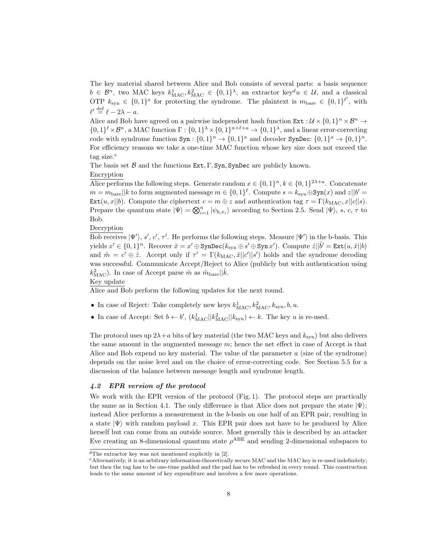The key material shared between Alice and Bob consists of several parts: a basis sequence  $b \in \mathcal{B}^n$ , two MAC keys  $k_{\text{MAC}}^1, k_{\text{MAC}}^2 \in \{0, 1\}^{\lambda}$ , an extractor key<sup>d</sup>u  $\in \mathcal{U}$ , and a classical OTP  $k_{syn} \in \{0,1\}^a$  for protecting the syndrome. The plaintext is  $m_{bare} \in \{0,1\}^{\ell'}$ , with  $\ell' \stackrel{\text{def}}{=} \ell - 2\lambda - a.$ 

Alice and Bob have agreed on a pairwise independent hash function  $\text{Ext}: \mathcal{U} \times \{0,1\}^n \times \mathcal{B}^n \to$  $\{0,1\}^{\ell} \times \mathcal{B}^n$ , a MAC function  $\Gamma: \{0,1\}^{\lambda} \times \{0,1\}^{n+\ell+a} \to \{0,1\}^{\lambda}$ , and a linear error-correcting code with syndrome function  $\text{Syn}: \{0,1\}^n \to \{0,1\}^a$  and decoder  $\text{SynDec}: \{0,1\}^a \to \{0,1\}^n$ . For efficiency reasons we take a one-time MAC function whose key size does not exceed the tag size. $^e$ 

The basis set  $\beta$  and the functions Ext, Γ, Syn, SynDec are publicly known.

## Encryption

Alice performs the following steps. Generate random  $x \in \{0,1\}^n, k \in \{0,1\}^{2\lambda+a}$ . Concatenate  $m = m_{\text{bare}} || k$  to form augmented message  $m \in \{0, 1\}^{\ell}$ . Compute  $s = k_{\text{syn}} \oplus \text{Syn}(x)$  and  $z||b' =$ Ext $(u, x||b)$ . Compute the ciphertext  $c = m \oplus z$  and authentication tag  $\tau = \Gamma(k_{\text{MAC}}, x||c||s)$ . Prepare the quantum state  $|\Psi\rangle = \bigotimes_{i=1}^{n} |\psi_{b_ix_i}\rangle$  according to Section 2.5. Send  $|\Psi\rangle$ , s, c,  $\tau$  to Bob.

## Decryption

Bob receives  $|\Psi'\rangle$ , s', c',  $\tau'$ . He performs the following steps. Measure  $|\Psi'\rangle$  in the b-basis. This yields  $x' \in \{0,1\}^n$ . Recover  $\hat{x} = x' \oplus \text{SynDec}(k_{syn} \oplus s' \oplus \text{Syn } x')$ . Compute  $\hat{z} || \hat{b}' = \text{Ext}(u, \hat{x} || b)$ and  $\hat{m} = c' \oplus \hat{z}$ . Accept only if  $\tau' = \Gamma(k_{\text{MAC}}, \hat{x} || c' || s')$  holds and the syndrome decoding was successful. Communicate Accept/Reject to Alice (publicly but with authentication using  $k_{\text{MAC}}^2$ ). In case of Accept parse  $\hat{m}$  as  $\hat{m}_{\text{bare}}||\hat{k}$ .

### Key update

Alice and Bob perform the following updates for the next round.

- In case of Reject: Take completely new keys  $k_{\text{MAC}}^1, k_{\text{MAC}}^2, k_{\text{syn}}^2, b, u$ .
- In case of Accept: Set  $b \leftarrow b'$ ,  $(k_{\text{MAC}}^1 || k_{\text{MAC}}^2 || k_{\text{syn}}) \leftarrow k$ . The key u is re-used.

The protocol uses up  $2\lambda + a$  bits of key material (the two MAC keys and  $k_{syn}$ ) but also delivers the same amount in the augmented message  $m$ ; hence the net effect in case of Accept is that Alice and Bob expend no key material. The value of the parameter  $a$  (size of the syndrome) depends on the noise level and on the choice of error-correcting code. See Section 5.5 for a discussion of the balance between message length and syndrome length.

## 4.2 EPR version of the protocol

We work with the EPR version of the protocol (Fig. 1). The protocol steps are practically the same as in Section 4.1. The only difference is that Alice does not prepare the state  $|\Psi\rangle$ ; instead Alice performs a measurement in the b-basis on one half of an EPR pair, resulting in a state  $|\Psi\rangle$  with random payload x. This EPR pair does not have to be produced by Alice herself but can come from an outside source. Most generally this is described by an attacker Eve creating an 8-dimensional quantum state  $\rho^{ABE}$  and sending 2-dimensional subspaces to

 ${}^{d}$ The extractor key was not mentioned explicitly in [2].

 $e$ Alternatively, it is an arbitrary information-theoretically secure MAC and the MAC key is re-used indefinitely; but then the tag has to be one-time padded and the pad has to be refreshed in every round. This construction leads to the same amount of key expenditure and involves a few more operations.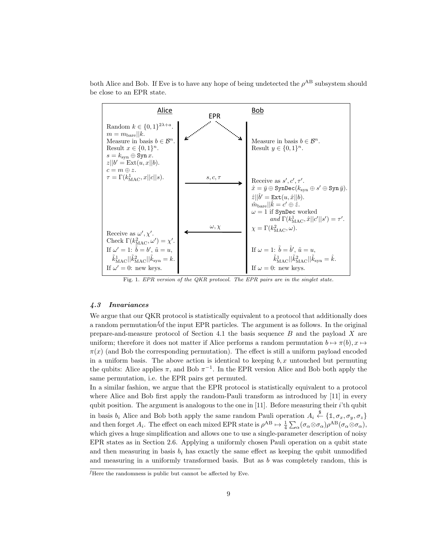both Alice and Bob. If Eve is to have any hope of being undetected the  $\rho^{AB}$  subsystem should be close to an EPR state. D. Leermakers and B. Skori´c ˇ 9



Fig. 1. EPR version of the QKR protocol. The EPR pairs are in the singlet state.

## 4.3 Invariances

We argue that our QKR protocol is statistically equivalent to a protocol that additionally does the same and same amount in the augmented message message message message message message message of  $\frac{1}{2}$ a random permutation of the input EPR particles. The argument is as follows. In the original  $\sum_{n=1}^{\infty}$ prepare-and-measure protocol of Section 4.1 the basis sequence B and the payload X are uniform; therefore it does not matter if Alice performs a random permutation  $b \mapsto \pi(b), x \mapsto$ in a uniform basis. The above action is identical to keeping  $b, x$  untouched but permuting the qubits: Alice applies  $\pi$ , and Bob  $\pi^{-1}$ . In the EPR version Alice and Bob both apply the same permutation, i.e. the EPR pairs get permuted.  $\pi(x)$  (and Bob the corresponding permutation). The effect is still a uniform payload encoded same permutation, i.e. the EPR pairs get permuted.

In a similar fashion, we argue that the EPR protocol is statistically equivalent to a protocol where Alice and Bob first apply the random-Pauli transform as introduced by  $[11]$  in every qubit position. The argument is analogous to the one in [11]. Before measuring their *i*'th qubit in basis  $b_i$  Alice and Bob both apply the same random Pauli operation  $A_i \stackrel{\$}{\leftarrow} \{1, \sigma_x, \sigma_y, \sigma_z\}$ and then forget  $A_i$ . The effect on each mixed EPR state is  $\rho^{AB} \mapsto \frac{1}{4} \sum_{\alpha} (\sigma_{\alpha} \otimes \sigma_{\alpha}) \rho^{AB} (\sigma_{\alpha} \otimes \sigma_{\alpha})$ , which gives a huge simplification and allows one to use a single-parameter description of noisy EPR states as in Section 2.6. Applying a uniformly chosen Pauli operation on a qubit state. and then measuring in basis  $b_i$  has exactly the same effect as keeping the qubit unmodified and measuring in a uniformly transformed basis. But as  $b$  was completely random, this is

 ${}^f$ Here the randomness is public but cannot be affected by Eve.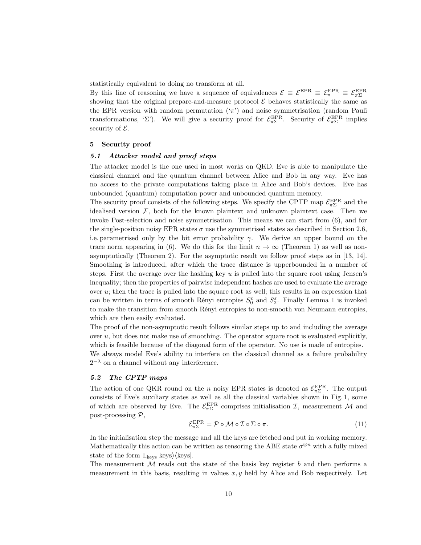statistically equivalent to doing no transform at all.

By this line of reasoning we have a sequence of equivalences  $\mathcal{E} \equiv \mathcal{E}^{\text{EPR}} \equiv \mathcal{E}^{\text{EPR}}_{\pi\Sigma} \equiv \mathcal{E}^{\text{EPR}}_{\pi\Sigma}$ showing that the original prepare-and-measure protocol  $\mathcal E$  behaves statistically the same as the EPR version with random permutation  $({\pi})$  and noise symmetrisation (random Pauli transformations, 'Σ'). We will give a security proof for  $\mathcal{E}_{\pi\Sigma}^{\text{EPR}}$ . Security of  $\mathcal{E}_{\pi\Sigma}^{\text{EPR}}$  implies security of  $\mathcal{E}$ .

### 5 Security proof

## 5.1 Attacker model and proof steps

The attacker model is the one used in most works on QKD. Eve is able to manipulate the classical channel and the quantum channel between Alice and Bob in any way. Eve has no access to the private computations taking place in Alice and Bob's devices. Eve has unbounded (quantum) computation power and unbounded quantum memory.

The security proof consists of the following steps. We specify the CPTP map  $\mathcal{E}_{\pi\Sigma}^{\text{EPR}}$  and the idealised version  $\mathcal{F}$ , both for the known plaintext and unknown plaintext case. Then we invoke Post-selection and noise symmetrisation. This means we can start from (6), and for the single-position noisy EPR states  $\sigma$  use the symmetrised states as described in Section 2.6, i.e. parametrised only by the bit error probability  $\gamma$ . We derive an upper bound on the trace norm appearing in (6). We do this for the limit  $n \to \infty$  (Theorem 1) as well as nonasymptotically (Theorem 2). For the asymptotic result we follow proof steps as in [13, 14]. Smoothing is introduced, after which the trace distance is upperbounded in a number of steps. First the average over the hashing key  $u$  is pulled into the square root using Jensen's inequality; then the properties of pairwise independent hashes are used to evaluate the average over  $u$ ; then the trace is pulled into the square root as well; this results in an expression that can be written in terms of smooth Rényi entropies  $S_0^{\varepsilon}$  and  $S_2^{\varepsilon}$ . Finally Lemma 1 is invoked to make the transition from smooth Rényi entropies to non-smooth von Neumann entropies, which are then easily evaluated.

The proof of the non-asymptotic result follows similar steps up to and including the average over  $u$ , but does not make use of smoothing. The operator square root is evaluated explicitly, which is feasible because of the diagonal form of the operator. No use is made of entropies. We always model Eve's ability to interfere on the classical channel as a failure probability

# 5.2 The CPTP maps

 $2^{-\lambda}$  on a channel without any interference.

The action of one QKR round on the *n* noisy EPR states is denoted as  $\mathcal{E}_{\pi\Sigma}^{\text{EPR}}$ . The output consists of Eve's auxiliary states as well as all the classical variables shown in Fig. 1, some of which are observed by Eve. The  $\mathcal{E}_{\pi\Sigma}^{\text{EPR}}$  comprises initialisation  $\mathcal{I}$ , measurement  $\mathcal{M}$  and post-processing P,

$$
\mathcal{E}_{\pi\Sigma}^{\text{EPR}} = \mathcal{P} \circ \mathcal{M} \circ \mathcal{I} \circ \Sigma \circ \pi.
$$
 (11)

In the initialisation step the message and all the keys are fetched and put in working memory. Mathematically this action can be written as tensoring the ABE state  $\sigma^{\otimes n}$  with a fully mixed state of the form  $\mathbb{E}_{\text{keys}}|\text{keys}\rangle$  (keys).

The measurement  $M$  reads out the state of the basis key register b and then performs a measurement in this basis, resulting in values  $x, y$  held by Alice and Bob respectively. Let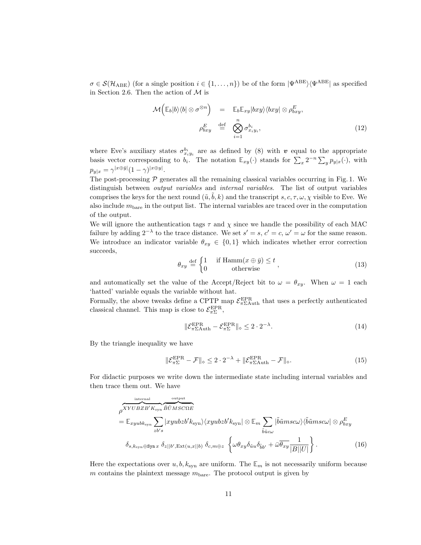$\sigma \in \mathcal{S}(\mathcal{H}_{\text{ABE}})$  (for a single position  $i \in \{1,\ldots,n\}$ ) be of the form  $|\Psi^{\text{ABE}}\rangle\langle\Psi^{\text{ABE}}|$  as specified in Section 2.6. Then the action of  $\mathcal M$  is

$$
\mathcal{M}\left(\mathbb{E}_b|b\rangle\langle b| \otimes \sigma^{\otimes n}\right) = \mathbb{E}_b\mathbb{E}_{xy}|bxy\rangle\langle bxy| \otimes \rho_{bxy}^E,
$$
  

$$
\rho_{bxy}^E \stackrel{\text{def}}{=} \bigotimes_{i=1}^n \sigma_{x_iy_i}^{b_i},
$$
 (12)

where Eve's auxiliary states  $\sigma_{x_iy_i}^{b_i}$  are as defined by (8) with v equal to the appropriate basis vector corresponding to  $b_i$ . The notation  $\mathbb{E}_{xy}(\cdot)$  stands for  $\sum_x 2^{-n} \sum_y p_{y|x}(\cdot)$ , with  $p_{y|x} = \gamma^{|x \oplus \bar{y}|} (1 - \gamma)^{|x \oplus y|}.$ 

The post-processing  $P$  generates all the remaining classical variables occurring in Fig. 1. We distinguish between output variables and internal variables. The list of output variables comprises the keys for the next round  $(\tilde{u}, \tilde{b}, k)$  and the transcript s, c,  $\tau$ ,  $\omega$ ,  $\chi$  visible to Eve. We also include  $m<sub>bare</sub>$  in the output list. The internal variables are traced over in the computation of the output.

We will ignore the authentication tags  $\tau$  and  $\chi$  since we handle the possibility of each MAC failure by adding  $2^{-\lambda}$  to the trace distance. We set  $s' = s$ ,  $c' = c$ ,  $\omega' = \omega$  for the same reason. We introduce an indicator variable  $\theta_{xy} \in \{0,1\}$  which indicates whether error correction succeeds,

$$
\theta_{xy} \stackrel{\text{def}}{=} \begin{cases} 1 & \text{if Hamm}(x \oplus \bar{y}) \le t \\ 0 & \text{otherwise} \end{cases}, \tag{13}
$$

and automatically set the value of the Accept/Reject bit to  $\omega = \theta_{xy}$ . When  $\omega = 1$  each 'hatted' variable equals the variable without hat.

Formally, the above tweaks define a CPTP map  $\mathcal{E}_{\pi \Sigma \text{Auth}}^{\text{EPR}}$  that uses a perfectly authenticated classical channel. This map is close to  $\mathcal{E}_{\pi\Sigma}^{\text{EPR}},$ 

$$
\|\mathcal{E}_{\pi \Sigma \text{Auth}}^{\text{EPR}} - \mathcal{E}_{\pi \Sigma}^{\text{EPR}}\|_{\diamond} \leq 2 \cdot 2^{-\lambda}.\tag{14}
$$

By the triangle inequality we have

$$
\|\mathcal{E}_{\pi\Sigma}^{\text{EPR}} - \mathcal{F}\|_{\diamond} \le 2 \cdot 2^{-\lambda} + \|\mathcal{E}_{\pi\Sigma\text{Auth}}^{\text{EPR}} - \mathcal{F}\|_{\diamond}.
$$
 (15)

For didactic purposes we write down the intermediate state including internal variables and then trace them out. We have

$$
\rho^{XYUBZB'K_{syn}} \overbrace{\tilde{B}U\tilde{W}SC\Omega E}^{\text{output}}
$$
\n
$$
= \mathbb{E}_{xyubk_{syn}} \sum_{zb's} |xyubzb'k_{syn}\rangle \langle xyubzb'k_{syn}| \otimes \mathbb{E}_m \sum_{\tilde{b}\tilde{u}c\omega} |\tilde{b}\tilde{u}msc\omega\rangle \langle \tilde{b}\tilde{u}msc\omega| \otimes \rho_{bxy}^E
$$
\n
$$
\delta_{s,k_{syn}\oplus\text{Syn}} x \delta_{z||b',\text{Ext}(u,x||b)} \delta_{c,m\oplus z} \left\{ \omega\theta_{xy}\delta_{\tilde{u}u}\delta_{\tilde{b}v} + \bar{\omega}\overline{\theta_{xy}} \frac{1}{|B||U|} \right\}. \tag{16}
$$

Here the expectations over  $u, b, k_{syn}$  are uniform. The  $\mathbb{E}_m$  is not necessarily uniform because m contains the plaintext message  $m<sub>bare</sub>$ . The protocol output is given by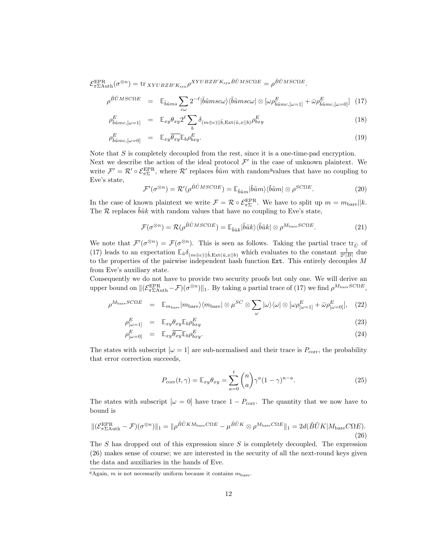$\mathcal{E}_{\pi \Sigma \text{Aut} \text{h}}^{\text{EPR}}(\sigma^{\otimes n}) = \text{tr}_{XYUBZB'K_{syn}} \rho^{XYUBZB'K_{syn}\tilde{B}\tilde{U}MSC\Omega E} = \rho^{\tilde{B}\tilde{U}MSC\Omega E}.$ 

$$
\rho^{\tilde{B}\tilde{U}MSC\Omega E} = \mathbb{E}_{\tilde{b}\tilde{u}ms} \sum_{c\omega} 2^{-\ell} |\tilde{b}\tilde{u}msc\omega\rangle \langle \tilde{b}\tilde{u}msc\omega| \otimes [\omega \rho_{\tilde{b}\tilde{u}mc,[\omega=1]}^{E} + \bar{\omega} \rho_{\tilde{b}\tilde{u}mc,[\omega=0]}^{E} ] \tag{17}
$$

$$
\rho_{\tilde{b}\tilde{u}mc,[\omega=1]}^{E} = \mathbb{E}_{xy}\theta_{xy}2^{\ell}\sum_{b}\delta_{(m\oplus c)||\tilde{b}, \text{Ext}(\tilde{u},x||b)}\rho_{bxy}^{E}
$$
\n(18)

$$
\rho_{\tilde{b}\tilde{u}mc,[\omega=0]}^{E} = \mathbb{E}_{xy}\overline{\theta_{xy}}\mathbb{E}_{b}\rho_{bxy}^{E}.
$$
\n(19)

Note that  $S$  is completely decoupled from the rest, since it is a one-time-pad encryption.

Next we describe the action of the ideal protocol  $\mathcal{F}'$  in the case of unknown plaintext. We write  $\mathcal{F}' = \mathcal{R}' \circ \mathcal{E}_{\pi\Sigma}^{\text{EPR}}$ , where  $\mathcal{R}'$  replaces  $\tilde{b} \tilde{u} m$  with random<sup>g</sup>values that have no coupling to Eve's state,

$$
\mathcal{F}'(\sigma^{\otimes n}) = \mathcal{R}'(\rho^{\tilde{B}\tilde{U}MSC\Omega E}) = \mathbb{E}_{\tilde{b}\tilde{u}m} |\tilde{b}\tilde{u}m\rangle \langle \tilde{b}\tilde{u}m| \otimes \rho^{SC\Omega E}.
$$
 (20)

In the case of known plaintext we write  $\mathcal{F} = \mathcal{R} \circ \mathcal{E}_{\pi\Sigma}^{\text{EPR}}$ . We have to split up  $m = m_{\text{bare}} || k$ . The  $\mathcal R$  replaces  $\tilde{b} \tilde{u} k$  with random values that have no coupling to Eve's state,

$$
\mathcal{F}(\sigma^{\otimes n}) = \mathcal{R}(\rho^{\tilde{B}\tilde{U}MSC\Omega E}) = \mathbb{E}_{\tilde{b}\tilde{u}k}|\tilde{b}\tilde{u}k\rangle\langle\tilde{b}\tilde{u}k| \otimes \rho^{M_{\text{bare}}SC\Omega E}.
$$
\n(21)

We note that  $\mathcal{F}'(\sigma^{\otimes n}) = \mathcal{F}(\sigma^{\otimes n})$ . This is seen as follows. Taking the partial trace  $\text{tr}_{\tilde{U}}$  of (17) leads to an expectation  $\mathbb{E}_{\tilde{u}}\delta_{(m\oplus c)||\tilde{b}, \text{Ext}(\tilde{u},x||b)}$  which evaluates to the constant  $\frac{1}{2^{\ell}|B|}$  due to the properties of the pairwise independent hash function  $Ext$ . This entirely decouples  $M$ from Eve's auxiliary state.

Consequently we do not have to provide two security proofs but only one. We will derive an upper bound on  $\|(\mathcal{E}_{\pi \Sigma \text{Aut} h}^{\text{EPR}} - \mathcal{F})(\sigma^{\otimes n})\|_1$ . By taking a partial trace of (17) we find  $\rho^{M_{\text{bare}}SC\Omega E}$ ,

$$
\rho^{M_{\text{bare}}SC\Omega E} = \mathbb{E}_{m_{\text{bare}}}|m_{\text{bare}}\rangle\langle m_{\text{bare}}| \otimes \mu^{SC} \otimes \sum_{\omega} |\omega\rangle\langle\omega| \otimes [\omega \rho_{[\omega=1]}^{E} + \bar{\omega} \rho_{[\omega=0]}^{E}], \quad (22)
$$

$$
\rho_{[\omega=1]}^{E} = \mathbb{E}_{xy} \theta_{xy} \mathbb{E}_{b} \rho_{bxy}^{E}
$$
\n(23)

$$
\rho_{[\omega=0]}^E = \mathbb{E}_{xy} \overline{\theta_{xy}} \mathbb{E}_b \rho_{bxy}^E.
$$
\n(24)

The states with subscript  $[\omega = 1]$  are sub-normalised and their trace is  $P_{\text{corr}}$ , the probability that error correction succeeds,

$$
P_{\text{corr}}(t,\gamma) = \mathbb{E}_{xy} \theta_{xy} = \sum_{a=0}^{t} {n \choose a} \gamma^a (1-\gamma)^{n-a}.
$$
 (25)

The states with subscript  $[\omega = 0]$  have trace  $1 - P_{\text{corr}}$ . The quantity that we now have to bound is

$$
\|(\mathcal{E}_{\pi \Sigma \text{Auth}}^{\text{EPR}} - \mathcal{F})(\sigma^{\otimes n})\|_1 = \|\rho^{\tilde{B}\tilde{U}KM_{\text{bare}}C\Omega E} - \mu^{\tilde{B}\tilde{U}K} \otimes \rho^{M_{\text{bare}}C\Omega E}\|_1 = 2d(\tilde{B}\tilde{U}K|M_{\text{bare}}C\Omega E). \tag{26}
$$

The S has dropped out of this expression since  $S$  is completely decoupled. The expression (26) makes sense of course; we are interested in the security of all the next-round keys given the data and auxiliaries in the hands of Eve.

<sup>&</sup>lt;sup>g</sup>Again, *m* is not necessarily uniform because it contains  $m_{\text{bare}}$ .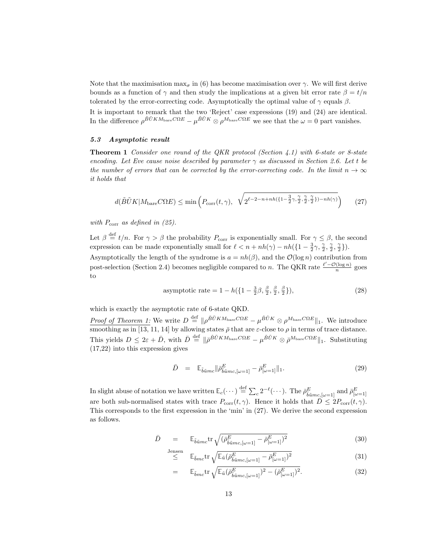Note that the maximisation  $\max_{\sigma}$  in (6) has become maximisation over  $\gamma$ . We will first derive bounds as a function of  $\gamma$  and then study the implications at a given bit error rate  $\beta = t/n$ tolerated by the error-correcting code. Asymptotically the optimal value of  $\gamma$  equals  $\beta$ .

It is important to remark that the two 'Reject' case expressions (19) and (24) are identical. In the difference  $\rho^{\tilde{B}\tilde{U}KM_{\text{bare}}C\Omega E} - \mu^{\tilde{B}\tilde{U}K}\otimes\rho^{M_{\text{bare}}C\Omega E}$  we see that the  $\omega = 0$  part vanishes.

## 5.3 Asymptotic result

**Theorem 1** Consider one round of the QKR protocol (Section 4.1) with 6-state or 8-state encoding. Let Eve cause noise described by parameter  $\gamma$  as discussed in Section 2.6. Let t be the number of errors that can be corrected by the error-correcting code. In the limit  $n \to \infty$ it holds that

$$
d(\tilde{B}\tilde{U}K|M_{\text{bare}}C\Omega E) \le \min\left(P_{\text{corr}}(t,\gamma), \ \sqrt{2^{\ell-2-n+nh(\{1-\frac{3}{2}\gamma,\frac{\gamma}{2},\frac{\gamma}{2},\frac{\gamma}{2}\})-nh(\gamma)}}\right) \tag{27}
$$

with  $P_{\text{corr}}$  as defined in (25).

Let  $\beta \stackrel{\text{def}}{=} t/n$ . For  $\gamma > \beta$  the probability  $P_{\text{corr}}$  is exponentially small. For  $\gamma \leq \beta$ , the second expression can be made exponentially small for  $\ell < n + nh(\gamma) - nh({1 - \frac{3}{2}\gamma, \frac{\gamma}{2}, \frac{\gamma}{2}, \frac{\gamma}{2}}).$ 

Asymptotically the length of the syndrome is  $a = nh(\beta)$ , and the  $\mathcal{O}(\log n)$  contribution from post-selection (Section 2.4) becomes negligible compared to n. The QKR rate  $\frac{\ell' - \mathcal{O}(\log n)}{n}$  goes to

asymptotic rate = 
$$
1 - h(\left\{1 - \frac{3}{2}\beta, \frac{\beta}{2}, \frac{\beta}{2}, \frac{\beta}{2}\right\}),
$$
 (28)

which is exactly the asymptotic rate of 6-state QKD.

Proof of Theorem 1: We write  $D \stackrel{\text{def}}{=} \| \rho^{\tilde{B}\tilde{U}KM_{\text{bare}}C\Omega E} - \mu^{\tilde{B}\tilde{U}K} \otimes \rho^{M_{\text{bare}}C\Omega E} \|_{1}$ . We introduce smoothing as in [13, 11, 14] by allowing states  $\bar{\rho}$  that are  $\varepsilon$ -close to  $\rho$  in terms of trace distance. This yields  $D \leq 2\varepsilon + \bar{D}$ , with  $\bar{D} \stackrel{\text{def}}{=} \| \bar{\rho}^{\tilde{B}\tilde{U}KM_{\text{bare}}C\Omega E} - \mu^{\tilde{B}\tilde{U}K} \otimes \bar{\rho}^{M_{\text{bare}}C\Omega E} \|_{1}$ . Substituting (17,22) into this expression gives

$$
\bar{D} = \mathbb{E}_{\tilde{b}\tilde{u}mc} || \bar{\rho}_{\tilde{b}\tilde{u}mc,[\omega=1]}^{E} - \bar{\rho}_{[\omega=1]}^{E} ||_{1}.
$$
\n(29)

In slight abuse of notation we have written  $\mathbb{E}_c(\cdots) \stackrel{\text{def}}{=} \sum_c 2^{-\ell}(\cdots)$ . The  $\bar{\rho}^E_{\tilde{b}\tilde{u}mc,[\omega=1]}$  and  $\bar{\rho}^E_{[\omega=1]}$ are both sub-normalised states with trace  $P_{\text{corr}}(t, \gamma)$ . Hence it holds that  $\bar{D} \leq 2P_{\text{corr}}(t, \gamma)$ . This corresponds to the first expression in the 'min' in (27). We derive the second expression as follows.

$$
\bar{D} = \mathbb{E}_{\tilde{b}\tilde{u}mc} \text{tr} \sqrt{(\bar{\rho}_{\tilde{b}\tilde{u}mc,[\omega=1]}^E - \bar{\rho}_{[\omega=1]}^E)^2}
$$
(30)

$$
\leq^{\text{Jensen}} \mathbb{E}_{\tilde{b}mc} \text{tr} \sqrt{\mathbb{E}_{\tilde{u}} (\bar{\rho}^E_{\tilde{b}\tilde{u}mc,[\omega=1]} - \bar{\rho}^E_{[\omega=1]})^2}
$$
(31)

$$
= \mathbb{E}_{\tilde{b}mc} \text{tr} \sqrt{\mathbb{E}_{\tilde{u}} (\bar{\rho}_{\tilde{b}\tilde{u}mc,[\omega=1]}^E)^2 - (\bar{\rho}_{[\omega=1]}^E)^2}.
$$
 (32)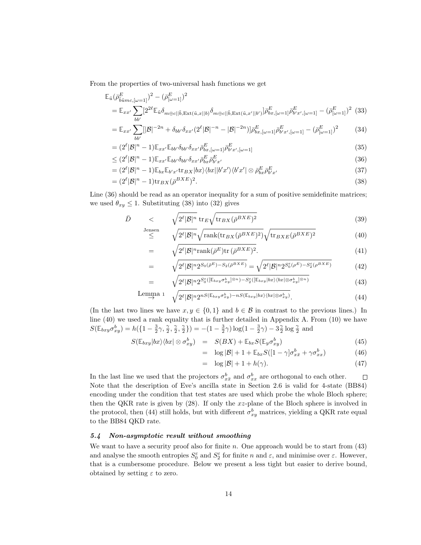From the properties of two-universal hash functions we get

$$
\mathbb{E}_{\tilde{u}}(\bar{\rho}_{\tilde{b}\tilde{u}mc,[\omega=1]}^{E})^{2} - (\bar{\rho}_{[\omega=1]}^{E})^{2}
$$
\n
$$
= \mathbb{E}_{xx'} \sum_{bb'} [2^{2\ell} \mathbb{E}_{\tilde{u}} \delta_{m \oplus c || \tilde{b}, \text{Ext}(\tilde{u},x||b)} \delta_{m \oplus c || \tilde{b}, \text{Ext}(\tilde{u},x'||b')}] \bar{\rho}_{bx,[\omega=1]}^{E} \bar{\rho}_{bx',[\omega=1]}^{E} - (\bar{\rho}_{[\omega=1]}^{E})^{2} (33)
$$

$$
= \mathbb{E}_{xx'} \sum_{bb'} [|\mathcal{B}|^{-2n} + \delta_{bb'} \delta_{xx'} (2^{\ell} |\mathcal{B}|^{-n} - |\mathcal{B}|^{-2n})] \bar{\rho}_{bx,[\omega=1]}^E \bar{\rho}_{b'x',[\omega=1]}^E - (\bar{\rho}_{[\omega=1]}^E)^2
$$
(34)

$$
= (2^{\ell}|\mathcal{B}|^{n} - 1)\mathbb{E}_{xx'}\mathbb{E}_{bb'}\delta_{bb'}\delta_{xx'}\bar{\rho}_{bx,[\omega=1]}^{E}\bar{\rho}_{b'x',[\omega=1]}^{E}
$$
(35)

$$
\leq (2^{\ell}|\mathcal{B}|^{n}-1)\mathbb{E}_{xx'}\mathbb{E}_{bb'}\delta_{bb'}\delta_{xx'}\bar{\rho}_{bx}^{E}\bar{\rho}_{b'x'}^{E'} \tag{36}
$$

$$
= (2^{\ell}|\mathcal{B}|^{n} - 1)\mathbb{E}_{bx}\mathbb{E}_{b'x'}\text{tr}_{BX}|bx\rangle\langle bx||b'x'\rangle\langle b'x'|\otimes \bar{\rho}_{bx}^{E}\bar{\rho}_{b'x'}^{E} \tag{37}
$$

$$
= (2^{\ell}|\mathcal{B}|^{n} - 1)\text{tr}_{BX}(\bar{\rho}^{BXE})^{2}.
$$
\n(38)

Line  $(36)$  should be read as an operator inequality for a sum of positive semidefinite matrices; we used  $\theta_{xy} \leq 1$ . Substituting (38) into (32) gives

$$
\bar{D} \qquad \qquad < \qquad \sqrt{2^{\ell}|\mathcal{B}|^n} \operatorname{tr}_{E}\sqrt{\operatorname{tr}_{BX}(\bar{\rho}^{BXE})^2} \qquad \qquad (39)
$$

$$
\leq \sqrt{2^{\ell}|\mathcal{B}|^n} \sqrt{\text{rank}(\text{tr}_{BX}(\bar{\rho}^{BXE})^2)} \sqrt{\text{tr}_{BXE}(\bar{\rho}^{BXE})^2}
$$
(40)

$$
= \sqrt{2^{\ell}|\mathcal{B}|^{n}\text{rank}(\bar{\rho}^{E})\text{tr}(\bar{\rho}^{BXE})^{2}}.
$$
\n(41)

$$
\sqrt{2^{\ell}|\mathcal{B}|^{n}2^{S_{0}(\bar{\rho}^{E})-S_{2}(\bar{\rho}^{BKE})}} = \sqrt{2^{\ell}|\mathcal{B}|^{n}2^{S_{0}^{\varepsilon}(\rho^{E})-S_{2}^{\varepsilon}(\rho^{BKE})}}
$$
(42)

$$
= \sqrt{2^{\ell}|\mathcal{B}|^{n}2^{S_{0}^{\varepsilon}\left(\left[\mathbb{E}_{bxy}\sigma_{xy}^{b}\right]\otimes n\right)-S_{2}^{\varepsilon}\left(\left[\mathbb{E}_{bxy}|bx\rangle\langle bx|\otimes\sigma_{xy}^{b}|^{\otimes n}\right)\right]}}\tag{43}
$$

$$
\text{Lemma 1} \quad \sqrt{2^{\ell}|\mathcal{B}|^n 2^{nS(\mathbb{E}_{bxy}\sigma_{xy}^b)-nS(\mathbb{E}_{bxy}|bx\rangle\langle bx|\otimes\sigma_{xy}^b)}}. \tag{44}
$$

(In the last two lines we have  $x, y \in \{0, 1\}$  and  $b \in \mathcal{B}$  in contrast to the previous lines.) In line (40) we used a rank equality that is further detailed in Appendix A. From (10) we have  $S(\mathbb{E}_{bxy} \sigma_{xy}^b) = h(\{1 - \frac{3}{2}\gamma, \frac{\gamma}{2}, \frac{\gamma}{2}, \frac{\gamma}{2}\}) = -(1 - \frac{3}{2}\gamma)\log(1 - \frac{3}{2}\gamma) - 3\frac{\gamma}{2}\log\frac{\gamma}{2}$  and

$$
S(\mathbb{E}_{bxy}|bx\rangle\langle bx|\otimes\sigma_{xy}^b) = S(BX) + \mathbb{E}_{bx}S(\mathbb{E}_y\sigma_{xy}^b)
$$
\n(45)

$$
= \log |\mathcal{B}| + 1 + \mathbb{E}_{bx} S([1 - \gamma] \sigma_{x\bar{x}}^b + \gamma \sigma_{xx}^b)
$$
(46)

$$
= \log |\mathcal{B}| + 1 + h(\gamma). \tag{47}
$$

In the last line we used that the projectors  $\sigma_{xx}^b$  and  $\sigma_{xx}^b$  are orthogonal to each other.  $\Box$ Note that the description of Eve's ancilla state in Section 2.6 is valid for 4-state (BB84) encoding under the condition that test states are used which probe the whole Bloch sphere; then the QKR rate is given by (28). If only the xz-plane of the Bloch sphere is involved in the protocol, then (44) still holds, but with different  $\sigma_{xy}^b$  matrices, yielding a QKR rate equal to the BB84 QKD rate.

## 5.4 Non-asymptotic result without smoothing

=

=

We want to have a security proof also for finite  $n$ . One approach would be to start from  $(43)$ and analyse the smooth entropies  $S_0^{\varepsilon}$  and  $S_2^{\varepsilon}$  for finite n and  $\varepsilon$ , and minimise over  $\varepsilon$ . However, that is a cumbersome procedure. Below we present a less tight but easier to derive bound, obtained by setting  $\varepsilon$  to zero.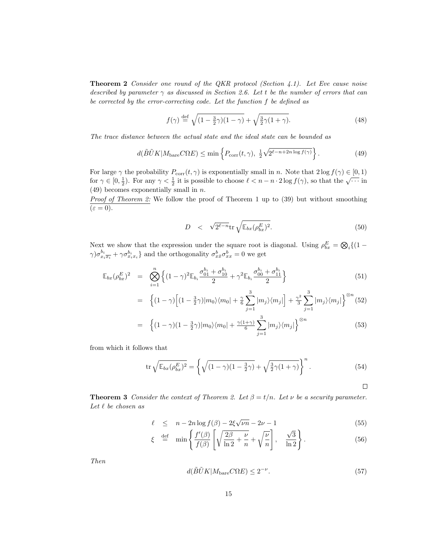**Theorem 2** Consider one round of the QKR protocol (Section  $4.1$ ). Let Eve cause noise described by parameter  $\gamma$  as discussed in Section 2.6. Let t be the number of errors that can be corrected by the error-correcting code. Let the function f be defined as

$$
f(\gamma) \stackrel{\text{def}}{=} \sqrt{(1 - \frac{3}{2}\gamma)(1 - \gamma)} + \sqrt{\frac{3}{2}\gamma(1 + \gamma)}.
$$
 (48)

The trace distance between the actual state and the ideal state can be bounded as

$$
d(\tilde{B}\tilde{U}K|M_{\text{bare}}C\Omega E) \le \min\left\{P_{\text{corr}}(t,\gamma), \frac{1}{2}\sqrt{2^{\ell-n+2n\log f(\gamma)}}\right\}.
$$
 (49)

For large  $\gamma$  the probability  $P_{\text{corr}}(t, \gamma)$  is exponentially small in n. Note that  $2 \log f(\gamma) \in [0, 1)$ for  $\gamma \in [0, \frac{1}{2})$ . For any  $\gamma < \frac{1}{2}$  it is possible to choose  $\ell < n - n \cdot 2 \log f(\gamma)$ , so that the  $\sqrt{\cdots}$  in  $(49)$  becomes exponentially small in *n*.

**Proof of Theorem 2:** We follow the proof of Theorem 1 up to  $(39)$  but without smoothing  $(\varepsilon = 0).$ 

$$
D \quad < \quad \sqrt{2^{\ell - n}} \text{tr} \sqrt{\mathbb{E}_{bx} (\rho_{bx}^E)^2} . \tag{50}
$$

Next we show that the expression under the square root is diagonal. Using  $\rho_{bx}^E = \bigotimes_i \{ (1 \gamma) \sigma_{x_i \overline{x_i}}^{b_i} + \gamma \sigma_{x_i x_i}^{b_i}$  and the orthogonality  $\sigma_{x \overline{x}}^{b} \sigma_{xx}^{b} = 0$  we get

$$
\mathbb{E}_{bx}(\rho_{bx}^E)^2 = \bigotimes_{i=1}^n \left\{ (1-\gamma)^2 \mathbb{E}_{b_i} \frac{\sigma_{01}^{b_i} + \sigma_{10}^{b_i}}{2} + \gamma^2 \mathbb{E}_{b_i} \frac{\sigma_{00}^{b_i} + \sigma_{11}^{b_i}}{2} \right\}
$$
(51)

$$
= \left\{ (1-\gamma) \Big[ (1-\frac{3}{2}\gamma)|m_0\rangle\langle m_0| + \frac{\gamma}{6} \sum_{j=1}^3 |m_j\rangle\langle m_j| \Big] + \frac{\gamma^2}{3} \sum_{j=1}^3 |m_j\rangle\langle m_j| \right\}^{\otimes n} (52)
$$

$$
= \left\{ (1-\gamma)(1-\frac{3}{2}\gamma)|m_0\rangle\langle m_0| + \frac{\gamma(1+\gamma)}{6} \sum_{j=1}^3 |m_j\rangle\langle m_j| \right\}^{\otimes n} \tag{53}
$$

from which it follows that

$$
\operatorname{tr}\sqrt{\mathbb{E}_{bx}(\rho_{bx}^E)^2} = \left\{\sqrt{(1-\gamma)(1-\frac{3}{2}\gamma)} + \sqrt{\frac{3}{2}\gamma(1+\gamma)}\right\}^n. \tag{54}
$$

 $\Box$ 

**Theorem 3** Consider the context of Theorem 2. Let  $\beta = t/n$ . Let  $\nu$  be a security parameter. Let  $\ell$  be chosen as

$$
\ell \leq n - 2n \log f(\beta) - 2\xi \sqrt{\nu n} - 2\nu - 1 \tag{55}
$$

$$
\xi \stackrel{\text{def}}{=} \min \left\{ \frac{f'(\beta)}{f(\beta)} \left[ \sqrt{\frac{2\beta}{\ln 2} + \frac{\nu}{n}} + \sqrt{\frac{\nu}{n}} \right], \frac{\sqrt{3}}{\ln 2} \right\}. \tag{56}
$$

Then

$$
d(\tilde{B}\tilde{U}K|M_{\text{bare}}C\Omega E) \le 2^{-\nu}.
$$
\n(57)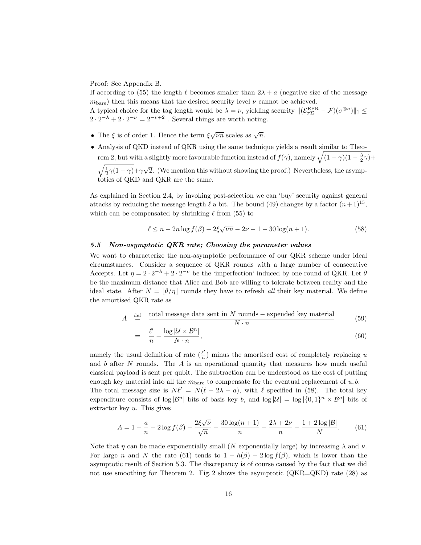Proof: See Appendix B.

If according to (55) the length  $\ell$  becomes smaller than  $2\lambda + a$  (negative size of the message  $m<sub>bare</sub>$ ) then this means that the desired security level  $\nu$  cannot be achieved.

A typical choice for the tag length would be  $\lambda = \nu$ , yielding security  $\|(\mathcal{E}_{\pi\Sigma}^{EPR} - \mathcal{F})(\sigma^{\otimes n})\|_1 \leq$  $2 \cdot 2^{-\lambda} + 2 \cdot 2^{-\nu} = 2^{-\nu+2}$ . Several things are worth noting.

- The  $\xi$  is of order 1. Hence the term  $\xi \sqrt{\nu n}$  scales as  $\sqrt{n}$ .
- Analysis of QKD instead of QKR using the same technique yields a result similar to Theorem 2, but with a slightly more favourable function instead of  $f(\gamma)$ , namely  $\sqrt{(1-\gamma)(1-\frac{3}{2}\gamma)} +$

 $\sqrt{\frac{1}{2}\gamma(1-\gamma)}+\gamma\sqrt{2}$ . (We mention this without showing the proof.) Nevertheless, the asymptotics of QKD and QKR are the same.

As explained in Section 2.4, by invoking post-selection we can 'buy' security against general attacks by reducing the message length  $\ell$  a bit. The bound (49) changes by a factor  $(n+1)^{15}$ , which can be compensated by shrinking  $\ell$  from (55) to

$$
\ell \le n - 2n \log f(\beta) - 2\xi \sqrt{\nu n} - 2\nu - 1 - 30 \log(n+1). \tag{58}
$$

## 5.5 Non-asymptotic QKR rate; Choosing the parameter values

We want to characterize the non-asymptotic performance of our QKR scheme under ideal circumstances. Consider a sequence of QKR rounds with a large number of consecutive Accepts. Let  $\eta = 2 \cdot 2^{-\lambda} + 2 \cdot 2^{-\nu}$  be the 'imperfection' induced by one round of QKR. Let  $\theta$ be the maximum distance that Alice and Bob are willing to tolerate between reality and the ideal state. After  $N = |\theta/\eta|$  rounds they have to refresh all their key material. We define the amortised QKR rate as

$$
A \stackrel{\text{def}}{=} \frac{\text{total message data sent in } N \text{ rounds} - \text{expended key material}}{\sum_{i=1}^{N} N_i}
$$
(59)

$$
= \frac{\ell'}{n} - \frac{\log |\mathcal{U} \times \mathcal{B}^n|}{N \cdot n},
$$
\n(60)

namely the usual definition of rate  $(\frac{\ell'}{n})$  $\frac{\ell}{n}$ ) minus the amortised cost of completely replacing u and  $b$  after  $N$  rounds. The  $A$  is an operational quantity that measures how much useful classical payload is sent per qubit. The subtraction can be understood as the cost of putting enough key material into all the  $m_{\text{bare}}$  to compensate for the eventual replacement of  $u, b$ . The total message size is  $N \ell' = N(\ell - 2\lambda - a)$ , with  $\ell$  specified in (58). The total key expenditure consists of  $\log |\mathcal{B}^n|$  bits of basis key b, and  $\log |\mathcal{U}| = \log |\{0,1\}^n \times \mathcal{B}^n|$  bits of extractor key  $u$ . This gives

$$
A = 1 - \frac{a}{n} - 2\log f(\beta) - \frac{2\xi\sqrt{\nu}}{\sqrt{n}} - \frac{30\log(n+1)}{n} - \frac{2\lambda + 2\nu}{n} - \frac{1 + 2\log|\mathcal{B}|}{N}.
$$
 (61)

Note that  $\eta$  can be made exponentially small (N exponentially large) by increasing  $\lambda$  and  $\nu$ . For large n and N the rate (61) tends to  $1 - h(\beta) - 2 \log f(\beta)$ , which is lower than the asymptotic result of Section 5.3. The discrepancy is of course caused by the fact that we did not use smoothing for Theorem 2. Fig. 2 shows the asymptotic (QKR=QKD) rate (28) as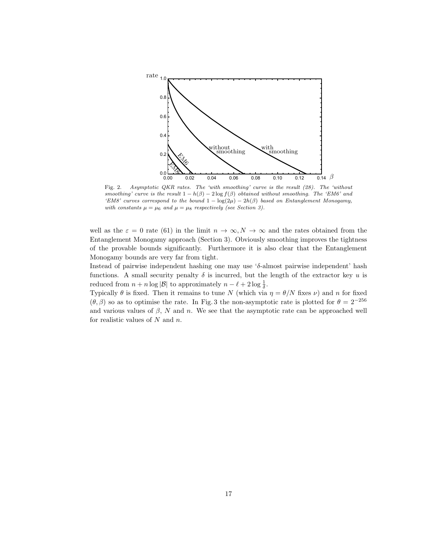

Fig. 2. Asymptotic QKR rates. The 'with smoothing' curve is the result (28). The 'without smoothing' curve is the result  $1 - h(\beta) - 2 \log f(\beta)$  obtained without smoothing. The 'EM6' and 'EM8' curves correspond to the bound  $1 - \log(2\mu) - 2h(\beta)$  based on Entanglement Monogamy, with constants  $\mu = \mu_6$  and  $\mu = \mu_8$  respectively (see Section 3).

well as the  $\varepsilon = 0$  rate (61) in the limit  $n \to \infty, N \to \infty$  and the rates obtained from the Entanglement Monogamy approach (Section 3). Obviously smoothing improves the tightness of the provable bounds significantly. Furthermore it is also clear that the Entanglement Monogamy bounds are very far from tight.

Instead of pairwise independent hashing one may use 'δ-almost pairwise independent' hash functions. A small security penalty  $\delta$  is incurred, but the length of the extractor key u is reduced from  $n + n \log |\mathcal{B}|$  to approximately  $n - \ell + 2 \log \frac{1}{\delta}$ .

Typically  $\theta$  is fixed. Then it remains to tune N (which via  $\eta = \theta/N$  fixes  $\nu$ ) and n for fixed  $(\theta, \beta)$  so as to optimise the rate. In Fig. 3 the non-asymptotic rate is plotted for  $\theta = 2^{-256}$ and various values of  $\beta$ , N and n. We see that the asymptotic rate can be approached well for realistic values of  $N$  and  $n$ .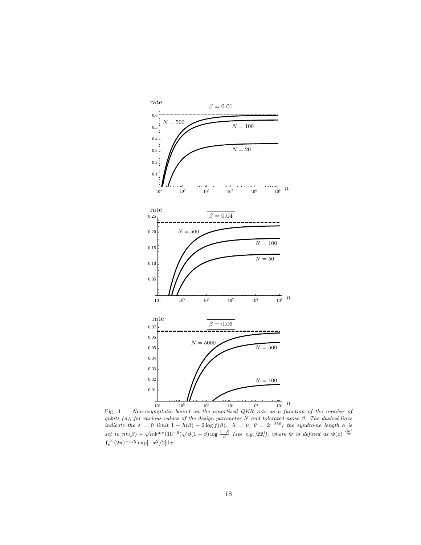

Fig. 3. Non-asymptotic bound on the amortised QKR rate as a function of the number of qubits  $(n)$ , for various values of the design parameter N and tolerated noise  $\beta$ . The dashed lines indicate the  $\varepsilon = 0$  limit  $1 - h(\beta) - 2 \log f(\beta)$ .  $\lambda = \nu$ ;  $\theta = 2^{-256}$ ; the syndrome length a is set to  $nh(\beta) + \sqrt{n}\Phi^{\text{inv}}(10^{-6})\sqrt{\beta(1-\beta)}\log \frac{1-\beta}{\beta}$  (see e.g. [22]), where  $\Phi$  is defined as  $\Phi(z) \stackrel{\text{def}}{=}$  $\int_z^{\infty} (2\pi)^{-1/2} \exp[-x^2/2] dx$ .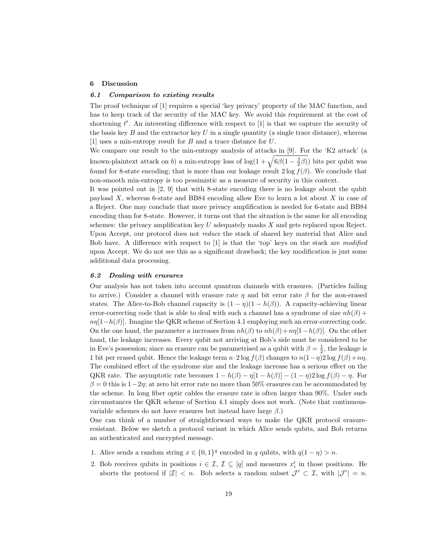### 6 Discussion

#### 6.1 Comparison to existing results

The proof technique of [1] requires a special 'key privacy' property of the MAC function, and has to keep track of the security of the MAC key. We avoid this requirement at the cost of shortening  $\ell'$ . An interesting difference with respect to [1] is that we capture the security of the basis key  $B$  and the extractor key  $U$  in a single quantity (a single trace distance), whereas [1] uses a min-entropy result for B and a trace distance for U.

We compare our result to the min-entropy analysis of attacks in [9]. For the 'K2 attack' (a known-plaintext attack on b) a min-entropy loss of  $\log(1+\sqrt{6\beta(1-\frac{3}{2}\beta)})$  bits per qubit was found for 8-state encoding; that is more than our leakage result  $2 \log f(\beta)$ . We conclude that non-smooth min-entropy is too pessimistic as a measure of security in this context.

It was pointed out in [2, 9] that with 8-state encoding there is no leakage about the qubit payload  $X$ , whereas 6-state and BB84 encoding allow Eve to learn a lot about  $X$  in case of a Reject. One may conclude that more privacy amplification is needed for 6-state and BB84 encoding than for 8-state. However, it turns out that the situation is the same for all encoding schemes: the privacy amplification key  $U$  adequately masks  $X$  and gets replaced upon Reject. Upon Accept, our protocol does not reduce the stack of shared key material that Alice and Bob have. A difference with respect to  $[1]$  is that the 'top' keys on the stack are modified upon Accept. We do not see this as a significant drawback; the key modification is just some additional data processing.

#### 6.2 Dealing with erasures

Our analysis has not taken into account quantum channels with erasures. (Particles failing to arrive.) Consider a channel with erasure rate  $\eta$  and bit error rate  $\beta$  for the non-erased states. The Alice-to-Bob channel capacity is  $(1 - \eta)(1 - h(\beta))$ . A capacity-achieving linear error-correcting code that is able to deal with such a channel has a syndrome of size  $nh(\beta)$  +  $n\eta[1-h(\beta)]$ . Imagine the QKR scheme of Section 4.1 employing such an error-correcting code. On the one hand, the parameter a increases from  $nh(\beta)$  to  $nh(\beta)+n\eta[1-h(\beta)]$ . On the other hand, the leakage increases. Every qubit not arriving at Bob's side must be considered to be in Eve's possession; since an erasure can be parametrised as a qubit with  $\beta = \frac{1}{2}$ , the leakage is 1 bit per erased qubit. Hence the leakage term  $n \cdot 2 \log f(\beta)$  changes to  $n(1-\eta)2 \log f(\beta)+n\eta$ . The combined effect of the syndrome size and the leakage increase has a serious effect on the QKR rate. The asymptotic rate becomes  $1 - h(\beta) - \eta[1 - h(\beta)] - (1 - \eta)2 \log f(\beta) - \eta$ . For  $\beta = 0$  this is  $1-2\eta$ ; at zero bit error rate no more than 50% erasures can be accommodated by the scheme. In long fiber optic cables the erasure rate is often larger than 90%. Under such circumstances the QKR scheme of Section 4.1 simply does not work. (Note that continuousvariable schemes do not have erasures but instead have large  $\beta$ .)

One can think of a number of straightforward ways to make the QKR protocol erasureresistant. Below we sketch a protocol variant in which Alice sends qubits, and Bob returns an authenticated and encrypted message.

- 1. Alice sends a random string  $x \in \{0,1\}^q$  encoded in q qubits, with  $q(1 \eta) > n$ .
- 2. Bob receives qubits in positions  $i \in \mathcal{I}, \mathcal{I} \subseteq [q]$  and measures  $x'_i$  in those positions. He aborts the protocol if  $|\mathcal{I}| < n$ . Bob selects a random subset  $\mathcal{J}' \subset \mathcal{I}$ , with  $|\mathcal{J}'| = n$ .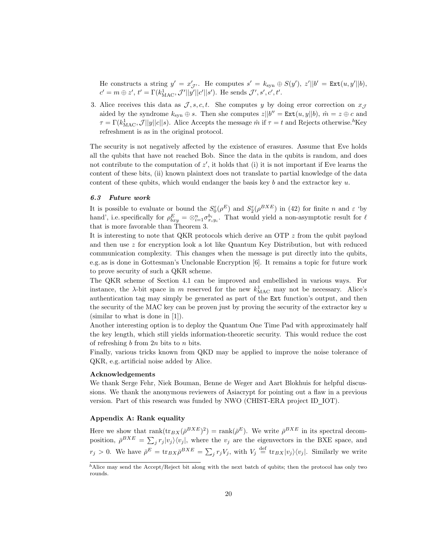He constructs a string  $y' = x'_{\mathcal{J}}$ . He computes  $s' = k_{syn} \oplus S(y')$ ,  $z'||b' = \text{Ext}(u, y'||b)$ ,  $c' = m \oplus z', t' = \Gamma(k_{\text{MAC}}^1, \mathcal{J}'||y'||c'||s')$ . He sends  $\mathcal{J}', s', c', t'.$ 

3. Alice receives this data as  $\mathcal{J}, s, c, t$ . She computes y by doing error correction on  $x_{\mathcal{J}}$ aided by the syndrome  $k_{syn} \oplus s$ . Then she computes  $z||b'' = \text{Ext}(u, y||b)$ ,  $\hat{m} = z \oplus c$  and  $\tau = \Gamma(k_{\text{MAC}}^1, \mathcal{J}||y||c||s)$ . Alice Accepts the message  $\hat{m}$  if  $\tau = t$  and Rejects otherwise.<sup>h</sup>Key refreshment is as in the original protocol.

The security is not negatively affected by the existence of erasures. Assume that Eve holds all the qubits that have not reached Bob. Since the data in the qubits is random, and does not contribute to the computation of  $z'$ , it holds that (i) it is not important if Eve learns the content of these bits, (ii) known plaintext does not translate to partial knowledge of the data content of these qubits, which would endanger the basis key  $b$  and the extractor key  $u$ .

#### 6.3 Future work

It is possible to evaluate or bound the  $S_0^{\varepsilon}(\rho^E)$  and  $S_2^{\varepsilon}(\rho^{BXE})$  in (42) for finite n and  $\varepsilon$  'by hand', i.e. specifically for  $\rho_{bxy}^E = \otimes_{i=1}^n \sigma_{x_iy_i}^{b_i}$ . That would yield a non-asymptotic result for  $\ell$ that is more favorable than Theorem 3.

It is interesting to note that QKR protocols which derive an OTP  $z$  from the qubit payload and then use z for encryption look a lot like Quantum Key Distribution, but with reduced communication complexity. This changes when the message is put directly into the qubits, e.g. as is done in Gottesman's Unclonable Encryption [6]. It remains a topic for future work to prove security of such a QKR scheme.

The QKR scheme of Section 4.1 can be improved and embellished in various ways. For instance, the  $\lambda$ -bit space in m reserved for the new  $k_{\text{MAC}}^1$  may not be necessary. Alice's authentication tag may simply be generated as part of the Ext function's output, and then the security of the MAC key can be proven just by proving the security of the extractor key  $u$ (similar to what is done in [1]).

Another interesting option is to deploy the Quantum One Time Pad with approximately half the key length, which still yields information-theoretic security. This would reduce the cost of refreshing b from  $2n$  bits to n bits.

Finally, various tricks known from QKD may be applied to improve the noise tolerance of QKR, e.g. artificial noise added by Alice.

### Acknowledgements

We thank Serge Fehr, Niek Bouman, Benne de Weger and Aart Blokhuis for helpful discussions. We thank the anonymous reviewers of Asiacrypt for pointing out a flaw in a previous version. Part of this research was funded by NWO (CHIST-ERA project ID IOT).

## Appendix A: Rank equality

Here we show that  $\text{rank}(\text{tr}_{BX}(\bar{\rho}^{BXE})^2) = \text{rank}(\bar{\rho}^E)$ . We write  $\bar{\rho}^{BXE}$  in its spectral decomposition,  $\bar{\rho}^{BXE} = \sum_j r_j |v_j\rangle\langle v_j|$ , where the  $v_j$  are the eigenvectors in the BXE space, and  $r_j > 0$ . We have  $\bar{\rho}^E = \text{tr}_{BX} \bar{\rho}^{BXE} = \sum_j r_j V_j$ , with  $V_j \stackrel{\text{def}}{=} \text{tr}_{BX} |v_j\rangle \langle v_j|$ . Similarly we write

 $h$ Alice may send the Accept/Reject bit along with the next batch of qubits; then the protocol has only two rounds.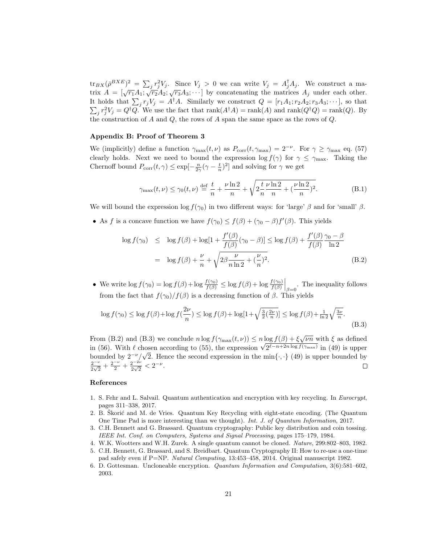${\rm tr}_{BX}({\bar \rho}^{BXE})^2 = \sum_j r_j^2 V_j$ . Since  $V_j > 0$  we can write  $V_j = A_j^{\dagger} A_j$ . We construct a matrix  $A = [\sqrt{r_1}A_1; \sqrt{r_2}A_2; \sqrt{r_3}A_3; \cdots]$  by concatenating the matrices  $A_j$  under each other. It holds that  $\sum_j r_j V_j = A^{\dagger} A$ . Similarly we construct  $Q = [r_1 A_1; r_2 A_2; r_3 A_3; \cdots]$ , so that  $\sum_j r_j^2 V_j = Q^{\dagger} Q$ . We use the fact that  $\text{rank}(A^{\dagger} A) = \text{rank}(A)$  and  $\text{rank}(Q^{\dagger} Q) = \text{rank}(Q)$ . By the construction of  $A$  and  $Q$ , the rows of  $A$  span the same space as the rows of  $Q$ .

## Appendix B: Proof of Theorem 3

We (implicitly) define a function  $\gamma_{\text{max}}(t, \nu)$  as  $P_{\text{corr}}(t, \gamma_{\text{max}}) = 2^{-\nu}$ . For  $\gamma \ge \gamma_{\text{max}}$  eq. (57) clearly holds. Next we need to bound the expression log  $f(\gamma)$  for  $\gamma \leq \gamma_{\text{max}}$ . Taking the Chernoff bound  $P_{\text{corr}}(t, \gamma) \le \exp[-\frac{n}{2\gamma}(\gamma - \frac{t}{n})^2]$  and solving for  $\gamma$  we get

$$
\gamma_{\max}(t,\nu) \le \gamma_0(t,\nu) \stackrel{\text{def}}{=} \frac{t}{n} + \frac{\nu \ln 2}{n} + \sqrt{2\frac{t}{n}\frac{\nu \ln 2}{n} + (\frac{\nu \ln 2}{n})^2}.\tag{B.1}
$$

We will bound the expression log  $f(\gamma_0)$  in two different ways: for 'large' β and for 'small' β.

• As f is a concave function we have  $f(\gamma_0) \leq f(\beta) + (\gamma_0 - \beta) f'(\beta)$ . This yields

$$
\log f(\gamma_0) \le \log f(\beta) + \log[1 + \frac{f'(\beta)}{f(\beta)}(\gamma_0 - \beta)] \le \log f(\beta) + \frac{f'(\beta)}{f(\beta)} \frac{\gamma_0 - \beta}{\ln 2}
$$
  
= 
$$
\log f(\beta) + \frac{\nu}{n} + \sqrt{2\beta \frac{\nu}{n \ln 2} + (\frac{\nu}{n})^2}.
$$
 (B.2)

• We write  $\log f(\gamma_0) = \log f(\beta) + \log \frac{f(\gamma_0)}{f(\beta)} \le \log f(\beta) + \log \frac{f(\gamma_0)}{f(\beta)} \Big|_{\beta=0}$ . The inequality follows from the fact that  $f(\gamma_0)/f(\beta)$  is a decreasing function of  $\beta$ . This yields

$$
\log f(\gamma_0) \le \log f(\beta) + \log f(\frac{2\nu}{n}) \le \log f(\beta) + \log[1 + \sqrt{\frac{3}{2}(\frac{2\nu}{n})}] \le \log f(\beta) + \frac{1}{\ln 2} \sqrt{\frac{3\nu}{n}}.
$$
\n(B.3)

From (B.2) and (B.3) we conclude  $n \log f(\gamma_{\max}(t, \nu)) \le n \log f(\beta) + \xi \sqrt{\nu n}$  with  $\xi$  as defined in (56). With  $\ell$  chosen according to (55), the expression  $\sqrt{2^{\ell-n+2n \log f(\gamma_{\max})}}$  in (49) is upper bounded by  $2^{-\nu}/\sqrt{2}$ . Hence the second expression in the min{·, ·} (49) is upper bounded by  $2^{-\nu}$  +  $2^{-\nu}$  +  $2^{-\nu}$   $\rightarrow$   $2^{-\nu}$  $\frac{2^{-\nu}}{2\sqrt{2}}+\frac{2^{-\nu}}{2}+\frac{2^{-2\nu}}{2\sqrt{2}}$  $\frac{2^{-2\nu}}{2\sqrt{2}} < 2^{-\nu}.$  $\Box$ 

### References

- 1. S. Fehr and L. Salvail. Quantum authentication and encryption with key recycling. In Eurocrypt, pages 311–338, 2017.
- 2. B. Skorić and M. de Vries. Quantum Key Recycling with eight-state encoding. (The Quantum One Time Pad is more interesting than we thought). Int. J. of Quantum Information, 2017.
- 3. C.H. Bennett and G. Brassard. Quantum cryptography: Public key distribution and coin tossing. IEEE Int. Conf. on Computers, Systems and Signal Processing, pages 175–179, 1984.
- 4. W.K. Wootters and W.H. Zurek. A single quantum cannot be cloned. Nature, 299:802–803, 1982.
- 5. C.H. Bennett, G. Brassard, and S. Breidbart. Quantum Cryptography II: How to re-use a one-time pad safely even if P=NP. Natural Computing, 13:453–458, 2014. Original manuscript 1982.
- 6. D. Gottesman. Uncloneable encryption. Quantum Information and Computation, 3(6):581–602, 2003.